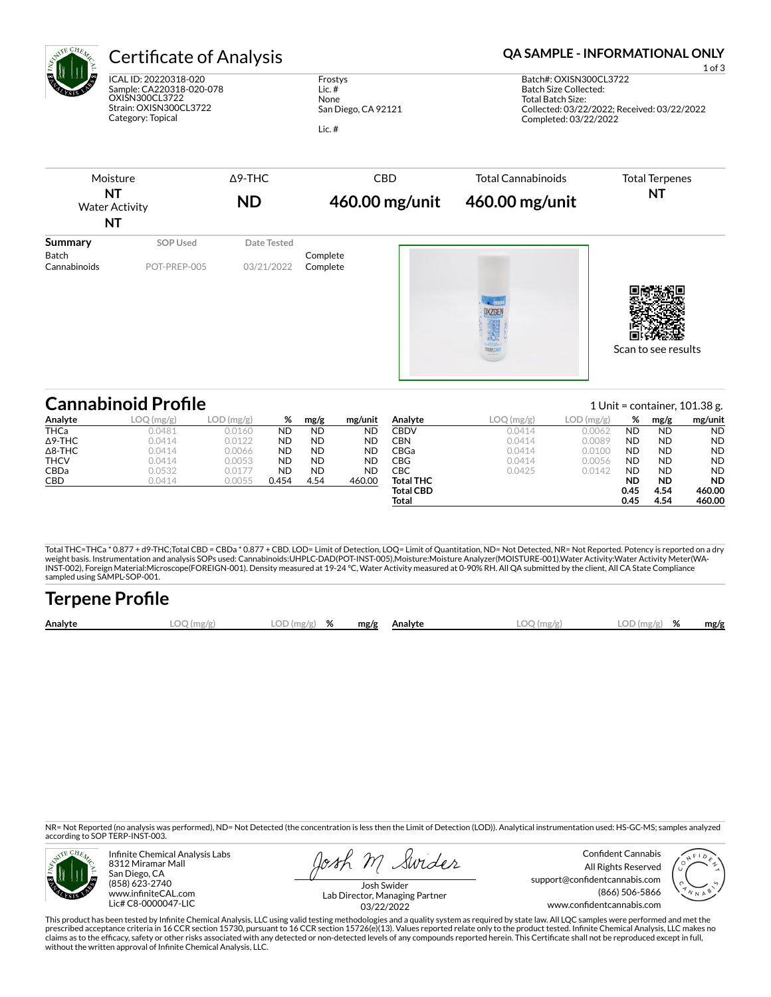

# Certificate of Analysis **Certificate of Analysis QA SAMPLE - INFORMATIONAL ONLY**

ICAL ID: 20220318-020 Sample: CA220318-020-078 OXISN300CL3722 Strain: OXISN300CL3722 Category: Topical

Frostys Lic. # None San Diego, CA 92121

Lic. #

1 of 3 Batch#: OXISN300CL3722 Batch Size Collected: Total Batch Size: Collected: 03/22/2022; Received: 03/22/2022 Completed: 03/22/2022



|                | <b>Cannabinoid Profile</b> |              |           |           |           |                  |           | 1 Unit = container, $101.38$ g. |           |           |           |
|----------------|----------------------------|--------------|-----------|-----------|-----------|------------------|-----------|---------------------------------|-----------|-----------|-----------|
| Analyte        | LOQ(mg/g)                  | $LOD$ (mg/g) | %         | mg/g      | mg/unit   | Analyte          | LOQ(mg/g) | $LOD$ (mg/g)                    | %         | mg/g      | mg/unit   |
| <b>THCa</b>    | 0.0481                     | 0.0160       | ND        | <b>ND</b> | ND        | CBDV             | 0.0414    | 0.0062                          | <b>ND</b> | <b>ND</b> | <b>ND</b> |
| $\Delta$ 9-THC | 0.0414                     | 0.0122       | <b>ND</b> | <b>ND</b> | <b>ND</b> | CBN              | 0.0414    | 0.0089                          | <b>ND</b> | <b>ND</b> | <b>ND</b> |
| $\Delta$ 8-THC | 0.0414                     | 0.0066       | <b>ND</b> | <b>ND</b> | <b>ND</b> | CBGa             | 0.0414    | 0.0100                          | <b>ND</b> | <b>ND</b> | <b>ND</b> |
| <b>THCV</b>    | 0.0414                     | 0.0053       | ND        | <b>ND</b> | <b>ND</b> | CBG              | 0.0414    | 0.0056                          | <b>ND</b> | <b>ND</b> | <b>ND</b> |
| <b>CBDa</b>    | 0.0532                     | 0.0177       | ND        | <b>ND</b> | ND        | СВС              | 0.0425    | 0.0142                          | ND        | <b>ND</b> | <b>ND</b> |
| CBD            | 0.0414                     | 0.0055       | 0.454     | 4.54      | 460.00    | <b>Total THC</b> |           |                                 | ND        | <b>ND</b> | <b>ND</b> |
|                |                            |              |           |           |           | <b>Total CBD</b> |           |                                 | 0.45      | 4.54      | 460.00    |
|                |                            |              |           |           |           | Total            |           |                                 | 0.45      | 4.54      | 460.00    |

Total THC=THCa \* 0.877 + d9-THC;Total CBD = CBDa \* 0.877 + CBD. LOD= Limit of Detection, LOQ= Limit of Quantitation, ND= Not Detected, NR= Not Reported. Potency is reported on a dry<br>weight basis. Instrumentation and analys INST-002), Foreign Material:Microscope(FOREIGN-001). Density measured at 19-24 °C, Water Activity measured at 0-90% RH. All QA submitted by the client, All CA State Compliance sampled using SAMPL-SOP-001.

| <b>Terpene Profile</b> |              |               |  |  |              |              |               |  |      |  |
|------------------------|--------------|---------------|--|--|--------------|--------------|---------------|--|------|--|
| Analyte                | $LOO$ (mg/g) | $LOD(mg/g)$ % |  |  | mg/g Analyte | $LOO$ (mg/g) | $LOD(mg/g)$ % |  | mg/g |  |

NR= Not Reported (no analysis was performed), ND= Not Detected (the concentration is less then the Limit of Detection (LOD)). Analytical instrumentation used: HS-GC-MS; samples analyzed according to SOP TERP-INST-003.



Infinite Chemical Analysis Labs 8312 Miramar Mall San Diego, CA (858) 623-2740 www.infiniteCAL.com Lic# C8-0000047-LIC

osh M Swider

Confident Cannabis All Rights Reserved support@confidentcannabis.com (866) 506-5866 www.confidentcannabis.com



Josh Swider Lab Director, Managing Partner 03/22/2022

This product has been tested by Infinite Chemical Analysis, LLC using valid testing methodologies and a quality system as required by state law. All LQC samples were performed and met the prescribed acceptance criteria in 16 CCR section 15730, pursuant to 16 CCR section 15726(e)(13). Values reported relate only to the product tested. Infinite Chemical Analysis, LLC makes no<br>claims as to the efficacy, safety without the written approval of Infinite Chemical Analysis, LLC.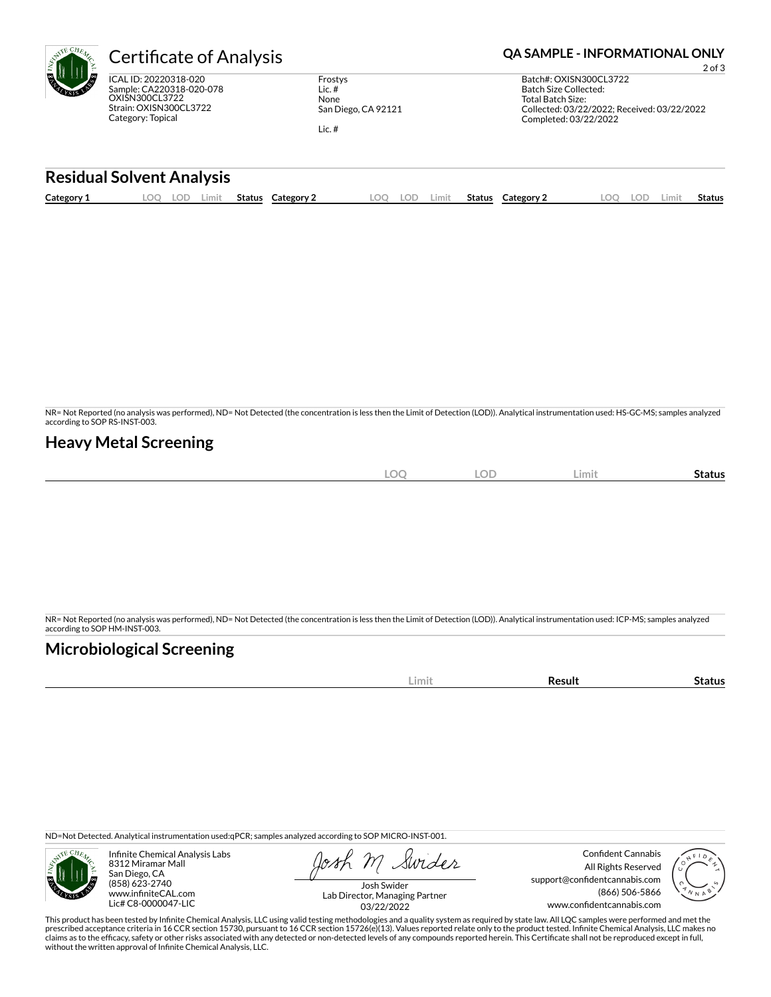| Certific                                      |
|-----------------------------------------------|
| ICAL ID: 2022<br>Sample: CA220<br>OXIŚN300CL3 |

0318-020 0318-020-078 3722 Strain: OXISN300CL3722 Category: Topical

Frostys Lic. # None San Diego, CA 92121

Lic. #

## Cate of Analysis **Canadian Compute Analysis QA SAMPLE - INFORMATIONAL ONLY**

2 of 3 Batch#: OXISN300CL3722 Batch Size Collected: Total Batch Size: Collected: 03/22/2022; Received: 03/22/2022 Completed: 03/22/2022

### **Residual Solvent Analysis**

|  | Category: | ~~<br>J.<br>--- | Limit | Status | Category | OC | LOD | Limit. | Status | Category $\angle$ | $\sim$ | LOD. | Limi | . .<br>Status |
|--|-----------|-----------------|-------|--------|----------|----|-----|--------|--------|-------------------|--------|------|------|---------------|
|--|-----------|-----------------|-------|--------|----------|----|-----|--------|--------|-------------------|--------|------|------|---------------|

NR= Not Reported (no analysis was performed), ND= Not Detected (the concentration is less then the Limit of Detection (LOD)). Analytical instrumentation used: HS-GC-MS; samples analyzed according to SOP RS-INST-003.

### **Heavy Metal Screening**

| and all of<br>эc<br>∽<br>$\tilde{}$ | <b>LOD</b> | Limit | -<br>Status |
|-------------------------------------|------------|-------|-------------|
|                                     |            |       |             |

NR= Not Reported (no analysis was performed), ND= Not Detected (the concentration is less then the Limit of Detection (LOD)). Analytical instrumentation used: ICP-MS; samples analyzed according to SOP HM-INST-003.

## **Microbiological Screening**

|--|

ND=Not Detected. Analytical instrumentation used:qPCR; samples analyzed according to SOP MICRO-INST-001.



Infinite Chemical Analysis Labs 8312 Miramar Mall San Diego, CA (858) 623-2740 www.infiniteCAL.com Lic# C8-0000047-LIC

Swider

Confident Cannabis All Rights Reserved support@confidentcannabis.com (866) 506-5866 www.confidentcannabis.com



Josh Swider Lab Director, Managing Partner 03/22/2022

This product has been tested by Infinite Chemical Analysis, LLC using valid testing methodologies and a quality system as required by state law. All LQC samples were performed and met the prescribed acceptance criteria in 16 CCR section 15730, pursuant to 16 CCR section 15726(e)(13). Values reported relate only to the product tested. Infinite Chemical Analysis, LLC makes no<br>claims as to the efficacy, safety without the written approval of Infinite Chemical Analysis, LLC.